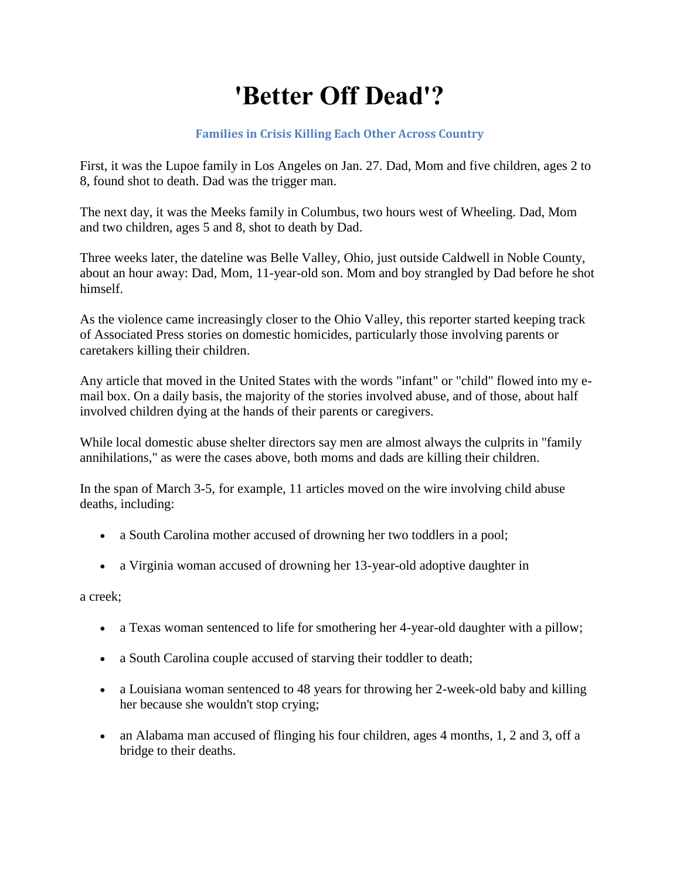## **'Better Off Dead'?**

## **Families in Crisis Killing Each Other Across Country**

First, it was the Lupoe family in Los Angeles on Jan. 27. Dad, Mom and five children, ages 2 to 8, found shot to death. Dad was the trigger man.

The next day, it was the Meeks family in Columbus, two hours west of Wheeling. Dad, Mom and two children, ages 5 and 8, shot to death by Dad.

Three weeks later, the dateline was Belle Valley, Ohio, just outside Caldwell in Noble County, about an hour away: Dad, Mom, 11-year-old son. Mom and boy strangled by Dad before he shot himself.

As the violence came increasingly closer to the Ohio Valley, this reporter started keeping track of Associated Press stories on domestic homicides, particularly those involving parents or caretakers killing their children.

Any article that moved in the United States with the words "infant" or "child" flowed into my email box. On a daily basis, the majority of the stories involved abuse, and of those, about half involved children dying at the hands of their parents or caregivers.

While local domestic abuse shelter directors say men are almost always the culprits in "family" annihilations," as were the cases above, both moms and dads are killing their children.

In the span of March 3-5, for example, 11 articles moved on the wire involving child abuse deaths, including:

- a South Carolina mother accused of drowning her two toddlers in a pool;
- a Virginia woman accused of drowning her 13-year-old adoptive daughter in

a creek;

- a Texas woman sentenced to life for smothering her 4-year-old daughter with a pillow;
- a South Carolina couple accused of starving their toddler to death;
- a Louisiana woman sentenced to 48 years for throwing her 2-week-old baby and killing her because she wouldn't stop crying;
- an Alabama man accused of flinging his four children, ages 4 months, 1, 2 and 3, off a bridge to their deaths.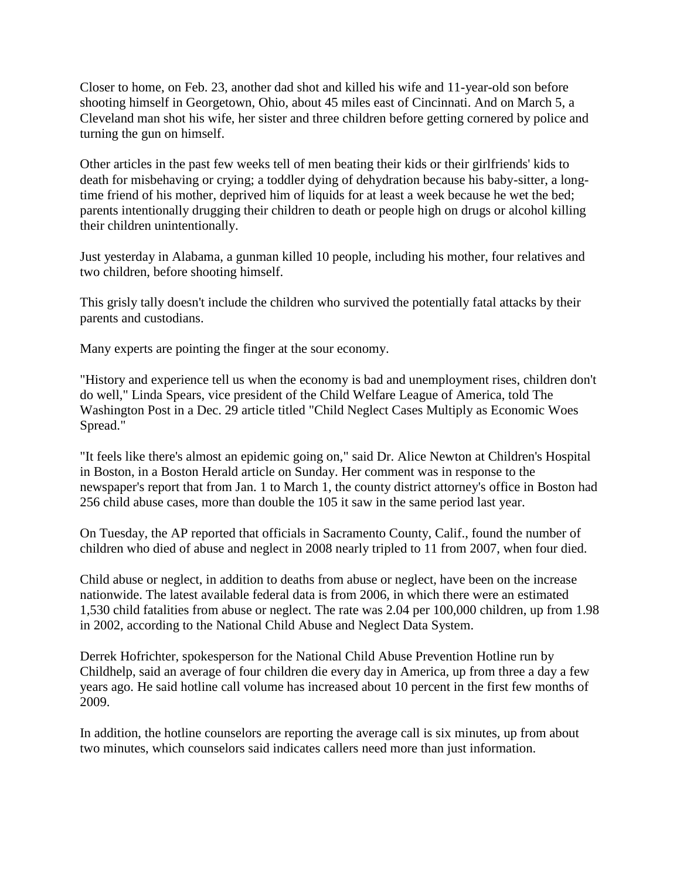Closer to home, on Feb. 23, another dad shot and killed his wife and 11-year-old son before shooting himself in Georgetown, Ohio, about 45 miles east of Cincinnati. And on March 5, a Cleveland man shot his wife, her sister and three children before getting cornered by police and turning the gun on himself.

Other articles in the past few weeks tell of men beating their kids or their girlfriends' kids to death for misbehaving or crying; a toddler dying of dehydration because his baby-sitter, a longtime friend of his mother, deprived him of liquids for at least a week because he wet the bed; parents intentionally drugging their children to death or people high on drugs or alcohol killing their children unintentionally.

Just yesterday in Alabama, a gunman killed 10 people, including his mother, four relatives and two children, before shooting himself.

This grisly tally doesn't include the children who survived the potentially fatal attacks by their parents and custodians.

Many experts are pointing the finger at the sour economy.

"History and experience tell us when the economy is bad and unemployment rises, children don't do well," Linda Spears, vice president of the Child Welfare League of America, told The Washington Post in a Dec. 29 article titled "Child Neglect Cases Multiply as Economic Woes Spread."

"It feels like there's almost an epidemic going on," said Dr. Alice Newton at Children's Hospital in Boston, in a Boston Herald article on Sunday. Her comment was in response to the newspaper's report that from Jan. 1 to March 1, the county district attorney's office in Boston had 256 child abuse cases, more than double the 105 it saw in the same period last year.

On Tuesday, the AP reported that officials in Sacramento County, Calif., found the number of children who died of abuse and neglect in 2008 nearly tripled to 11 from 2007, when four died.

Child abuse or neglect, in addition to deaths from abuse or neglect, have been on the increase nationwide. The latest available federal data is from 2006, in which there were an estimated 1,530 child fatalities from abuse or neglect. The rate was 2.04 per 100,000 children, up from 1.98 in 2002, according to the National Child Abuse and Neglect Data System.

Derrek Hofrichter, spokesperson for the National Child Abuse Prevention Hotline run by Childhelp, said an average of four children die every day in America, up from three a day a few years ago. He said hotline call volume has increased about 10 percent in the first few months of 2009.

In addition, the hotline counselors are reporting the average call is six minutes, up from about two minutes, which counselors said indicates callers need more than just information.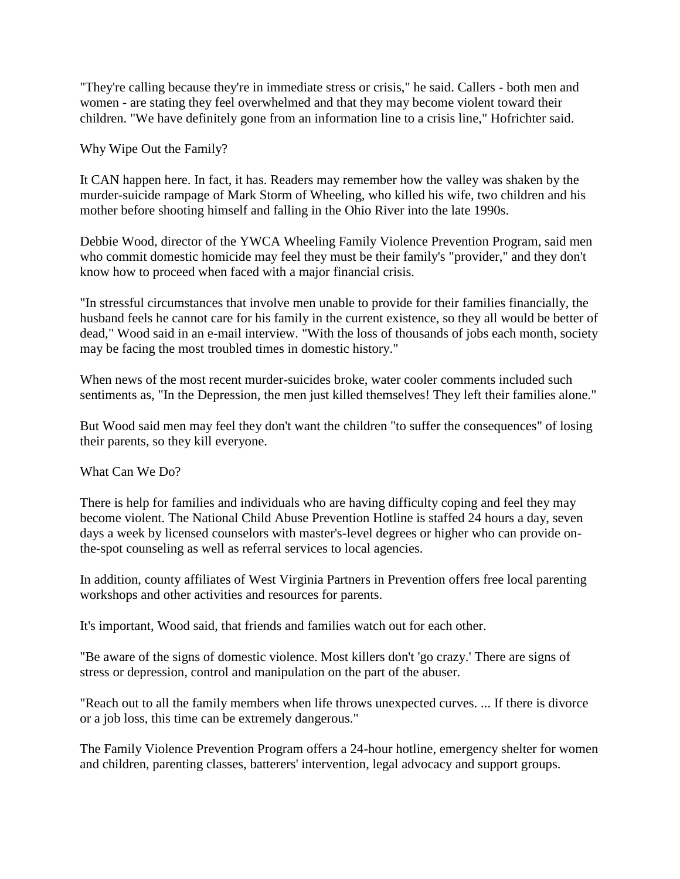"They're calling because they're in immediate stress or crisis," he said. Callers - both men and women - are stating they feel overwhelmed and that they may become violent toward their children. "We have definitely gone from an information line to a crisis line," Hofrichter said.

Why Wipe Out the Family?

It CAN happen here. In fact, it has. Readers may remember how the valley was shaken by the murder-suicide rampage of Mark Storm of Wheeling, who killed his wife, two children and his mother before shooting himself and falling in the Ohio River into the late 1990s.

Debbie Wood, director of the YWCA Wheeling Family Violence Prevention Program, said men who commit domestic homicide may feel they must be their family's "provider," and they don't know how to proceed when faced with a major financial crisis.

"In stressful circumstances that involve men unable to provide for their families financially, the husband feels he cannot care for his family in the current existence, so they all would be better of dead," Wood said in an e-mail interview. "With the loss of thousands of jobs each month, society may be facing the most troubled times in domestic history."

When news of the most recent murder-suicides broke, water cooler comments included such sentiments as, "In the Depression, the men just killed themselves! They left their families alone."

But Wood said men may feel they don't want the children "to suffer the consequences" of losing their parents, so they kill everyone.

What Can We Do?

There is help for families and individuals who are having difficulty coping and feel they may become violent. The National Child Abuse Prevention Hotline is staffed 24 hours a day, seven days a week by licensed counselors with master's-level degrees or higher who can provide onthe-spot counseling as well as referral services to local agencies.

In addition, county affiliates of West Virginia Partners in Prevention offers free local parenting workshops and other activities and resources for parents.

It's important, Wood said, that friends and families watch out for each other.

"Be aware of the signs of domestic violence. Most killers don't 'go crazy.' There are signs of stress or depression, control and manipulation on the part of the abuser.

"Reach out to all the family members when life throws unexpected curves. ... If there is divorce or a job loss, this time can be extremely dangerous."

The Family Violence Prevention Program offers a 24-hour hotline, emergency shelter for women and children, parenting classes, batterers' intervention, legal advocacy and support groups.